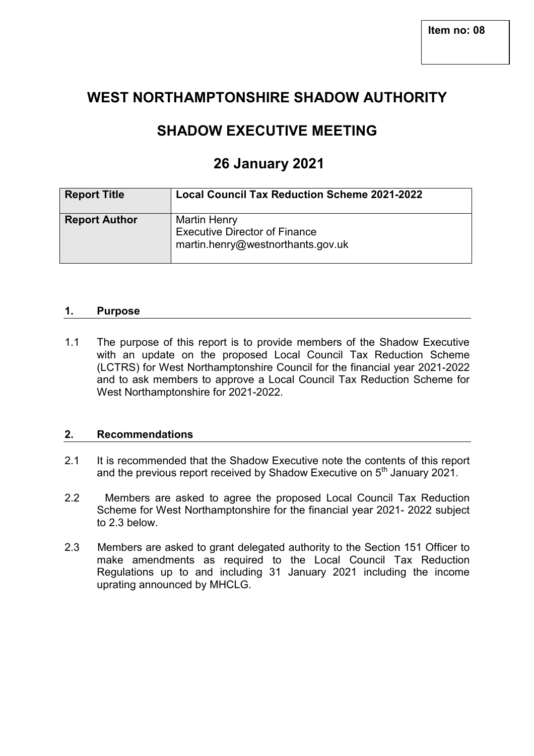# **WEST NORTHAMPTONSHIRE SHADOW AUTHORITY**

# **SHADOW EXECUTIVE MEETING**

# **26 January 2021**

| <b>Report Title</b>  | <b>Local Council Tax Reduction Scheme 2021-2022</b>                                              |
|----------------------|--------------------------------------------------------------------------------------------------|
| <b>Report Author</b> | <b>Martin Henry</b><br><b>Executive Director of Finance</b><br>martin.henry@westnorthants.gov.uk |

### **1. Purpose**

1.1 The purpose of this report is to provide members of the Shadow Executive with an update on the proposed Local Council Tax Reduction Scheme (LCTRS) for West Northamptonshire Council for the financial year 2021-2022 and to ask members to approve a Local Council Tax Reduction Scheme for West Northamptonshire for 2021-2022.

#### **2. Recommendations**

- 2.1 It is recommended that the Shadow Executive note the contents of this report and the previous report received by Shadow Executive on  $5<sup>th</sup>$  January 2021.
- 2.2 Members are asked to agree the proposed Local Council Tax Reduction Scheme for West Northamptonshire for the financial year 2021- 2022 subject to 2.3 below.
- 2.3 Members are asked to grant delegated authority to the Section 151 Officer to make amendments as required to the Local Council Tax Reduction Regulations up to and including 31 January 2021 including the income uprating announced by MHCLG.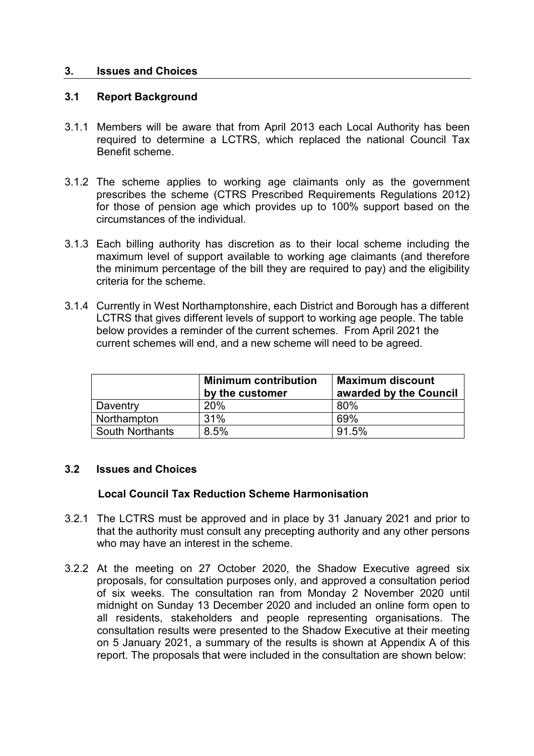### **3. Issues and Choices**

### **3.1 Report Background**

- 3.1.1 Members will be aware that from April 2013 each Local Authority has been required to determine a LCTRS, which replaced the national Council Tax Benefit scheme.
- 3.1.2 The scheme applies to working age claimants only as the government prescribes the scheme (CTRS Prescribed Requirements Regulations 2012) for those of pension age which provides up to 100% support based on the circumstances of the individual.
- 3.1.3 Each billing authority has discretion as to their local scheme including the maximum level of support available to working age claimants (and therefore the minimum percentage of the bill they are required to pay) and the eligibility criteria for the scheme.
- 3.1.4 Currently in West Northamptonshire, each District and Borough has a different LCTRS that gives different levels of support to working age people. The table below provides a reminder of the current schemes. From April 2021 the current schemes will end, and a new scheme will need to be agreed.

|                        | <b>Minimum contribution</b><br>by the customer | <b>Maximum discount</b><br>awarded by the Council |
|------------------------|------------------------------------------------|---------------------------------------------------|
| Daventry               | <b>20%</b>                                     | 80%                                               |
| Northampton            | 31%                                            | 69%                                               |
| <b>South Northants</b> | 8.5%                                           | 91.5%                                             |

### **3.2 Issues and Choices**

## **Local Council Tax Reduction Scheme Harmonisation**

- 3.2.1 The LCTRS must be approved and in place by 31 January 2021 and prior to that the authority must consult any precepting authority and any other persons who may have an interest in the scheme.
- 3.2.2 At the meeting on 27 October 2020, the Shadow Executive agreed six proposals, for consultation purposes only, and approved a consultation period of six weeks. The consultation ran from Monday 2 November 2020 until midnight on Sunday 13 December 2020 and included an online form open to all residents, stakeholders and people representing organisations. The consultation results were presented to the Shadow Executive at their meeting on 5 January 2021, a summary of the results is shown at Appendix A of this report. The proposals that were included in the consultation are shown below: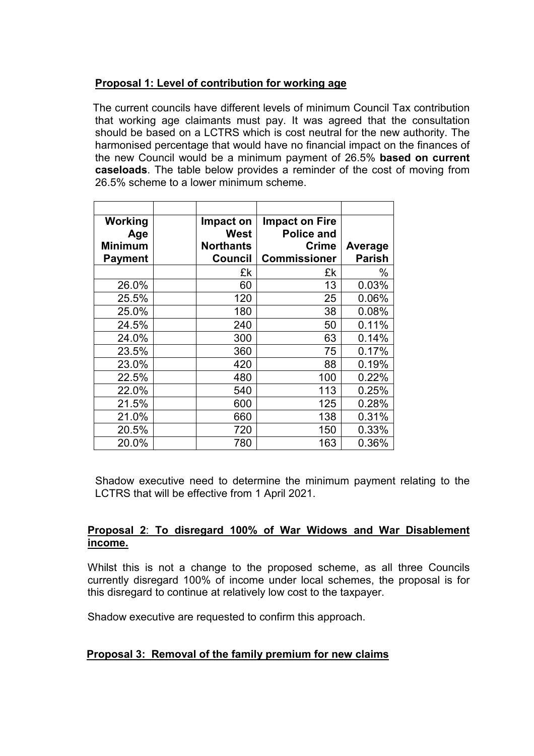# **Proposal 1: Level of contribution for working age**

 The current councils have different levels of minimum Council Tax contribution that working age claimants must pay. It was agreed that the consultation should be based on a LCTRS which is cost neutral for the new authority. The harmonised percentage that would have no financial impact on the finances of the new Council would be a minimum payment of 26.5% **based on current caseloads**. The table below provides a reminder of the cost of moving from 26.5% scheme to a lower minimum scheme.

| Working<br>Age<br><b>Minimum</b><br><b>Payment</b> | Impact on<br>West<br><b>Northants</b><br>Council | <b>Impact on Fire</b><br><b>Police and</b><br>Crime<br><b>Commissioner</b> | Average<br><b>Parish</b> |
|----------------------------------------------------|--------------------------------------------------|----------------------------------------------------------------------------|--------------------------|
|                                                    | £k                                               | £k                                                                         | $\%$                     |
| 26.0%                                              | 60                                               | 13                                                                         | 0.03%                    |
| 25.5%                                              | 120                                              | 25                                                                         | 0.06%                    |
| 25.0%                                              | 180                                              | 38                                                                         | 0.08%                    |
| 24.5%                                              | 240                                              | 50                                                                         | 0.11%                    |
| 24.0%                                              | 300                                              | 63                                                                         | 0.14%                    |
| 23.5%                                              | 360                                              | 75                                                                         | 0.17%                    |
| 23.0%                                              | 420                                              | 88                                                                         | 0.19%                    |
| 22.5%                                              | 480                                              | 100                                                                        | 0.22%                    |
| 22.0%                                              | 540                                              | 113                                                                        | 0.25%                    |
| 21.5%                                              | 600                                              | 125                                                                        | 0.28%                    |
| 21.0%                                              | 660                                              | 138                                                                        | 0.31%                    |
| 20.5%                                              | 720                                              | 150                                                                        | 0.33%                    |
| 20.0%                                              | 780                                              | 163                                                                        | 0.36%                    |

 Shadow executive need to determine the minimum payment relating to the LCTRS that will be effective from 1 April 2021.

## **Proposal 2**: **To disregard 100% of War Widows and War Disablement income.**

Whilst this is not a change to the proposed scheme, as all three Councils currently disregard 100% of income under local schemes, the proposal is for this disregard to continue at relatively low cost to the taxpayer.

Shadow executive are requested to confirm this approach.

# **Proposal 3: Removal of the family premium for new claims**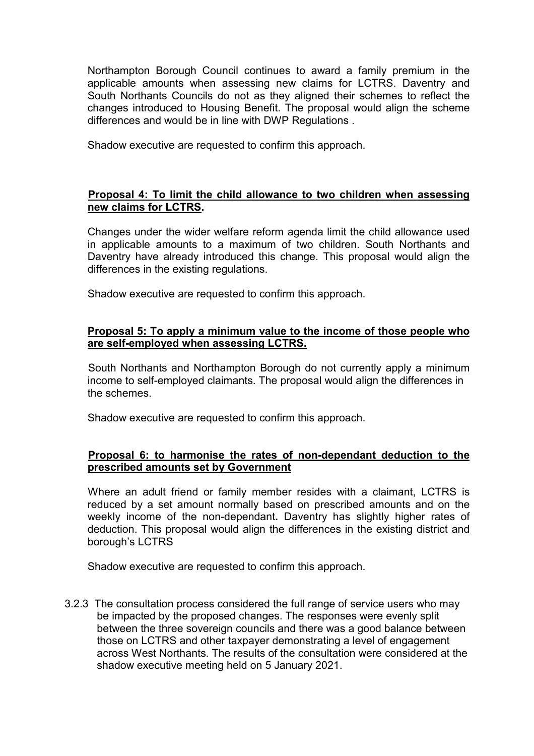Northampton Borough Council continues to award a family premium in the applicable amounts when assessing new claims for LCTRS. Daventry and South Northants Councils do not as they aligned their schemes to reflect the changes introduced to Housing Benefit. The proposal would align the scheme differences and would be in line with DWP Regulations .

Shadow executive are requested to confirm this approach.

## **Proposal 4: To limit the child allowance to two children when assessing new claims for LCTRS.**

 Changes under the wider welfare reform agenda limit the child allowance used in applicable amounts to a maximum of two children. South Northants and Daventry have already introduced this change. This proposal would align the differences in the existing regulations.

Shadow executive are requested to confirm this approach.

## **Proposal 5: To apply a minimum value to the income of those people who are self-employed when assessing LCTRS.**

 South Northants and Northampton Borough do not currently apply a minimum income to self-employed claimants. The proposal would align the differences in the schemes.

Shadow executive are requested to confirm this approach.

## **Proposal 6: to harmonise the rates of non-dependant deduction to the prescribed amounts set by Government**

 Where an adult friend or family member resides with a claimant, LCTRS is reduced by a set amount normally based on prescribed amounts and on the weekly income of the non-dependant**.** Daventry has slightly higher rates of deduction. This proposal would align the differences in the existing district and borough's LCTRS

Shadow executive are requested to confirm this approach.

3.2.3 The consultation process considered the full range of service users who may be impacted by the proposed changes. The responses were evenly split between the three sovereign councils and there was a good balance between those on LCTRS and other taxpayer demonstrating a level of engagement across West Northants. The results of the consultation were considered at the shadow executive meeting held on 5 January 2021.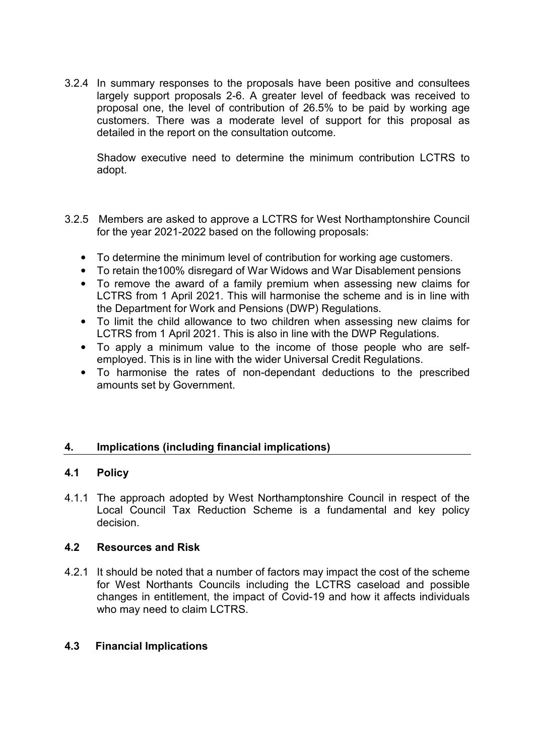3.2.4 In summary responses to the proposals have been positive and consultees largely support proposals 2-6. A greater level of feedback was received to proposal one, the level of contribution of 26.5% to be paid by working age customers. There was a moderate level of support for this proposal as detailed in the report on the consultation outcome.

Shadow executive need to determine the minimum contribution LCTRS to adopt.

- 3.2.5 Members are asked to approve a LCTRS for West Northamptonshire Council for the year 2021-2022 based on the following proposals:
	- To determine the minimum level of contribution for working age customers.
	- To retain the100% disregard of War Widows and War Disablement pensions
	- To remove the award of a family premium when assessing new claims for LCTRS from 1 April 2021. This will harmonise the scheme and is in line with the Department for Work and Pensions (DWP) Regulations.
	- To limit the child allowance to two children when assessing new claims for LCTRS from 1 April 2021. This is also in line with the DWP Regulations.
	- To apply a minimum value to the income of those people who are selfemployed. This is in line with the wider Universal Credit Regulations.
	- To harmonise the rates of non-dependant deductions to the prescribed amounts set by Government.

# **4. Implications (including financial implications)**

## **4.1 Policy**

4.1.1 The approach adopted by West Northamptonshire Council in respect of the Local Council Tax Reduction Scheme is a fundamental and key policy decision.

## **4.2 Resources and Risk**

4.2.1 It should be noted that a number of factors may impact the cost of the scheme for West Northants Councils including the LCTRS caseload and possible changes in entitlement, the impact of Covid-19 and how it affects individuals who may need to claim LCTRS.

## **4.3 Financial Implications**